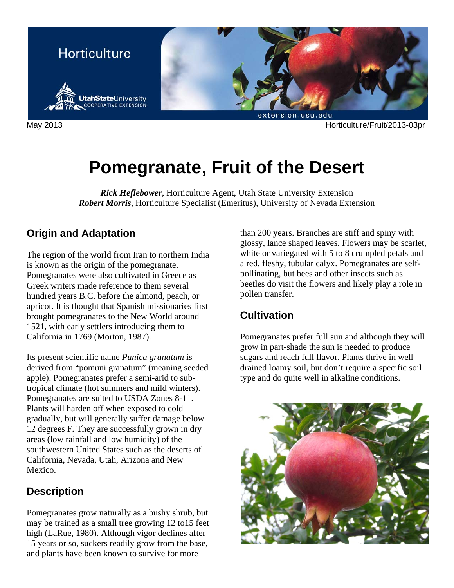

May 2013 Horticulture/Fruit/2013-03pr

# **Pomegranate, Fruit of the Desert**

*Rick Heflebower*, Horticulture Agent, Utah State University Extension *Robert Morris*, Horticulture Specialist (Emeritus), University of Nevada Extension

# **Origin and Adaptation**

The region of the world from Iran to northern India is known as the origin of the pomegranate. Pomegranates were also cultivated in Greece as Greek writers made reference to them several hundred years B.C. before the almond, peach, or apricot. It is thought that Spanish missionaries first brought pomegranates to the New World around 1521, with early settlers introducing them to California in 1769 (Morton, 1987).

Its present scientific name *Punica granatum* is derived from "pomuni granatum" (meaning seeded apple). Pomegranates prefer a semi-arid to subtropical climate (hot summers and mild winters). Pomegranates are suited to USDA Zones 8-11. Plants will harden off when exposed to cold gradually, but will generally suffer damage below 12 degrees F. They are successfully grown in dry areas (low rainfall and low humidity) of the southwestern United States such as the deserts of California, Nevada, Utah, Arizona and New Mexico.

# **Description**

Pomegranates grow naturally as a bushy shrub, but may be trained as a small tree growing 12 to15 feet high (LaRue, 1980). Although vigor declines after 15 years or so, suckers readily grow from the base, and plants have been known to survive for more

than 200 years. Branches are stiff and spiny with glossy, lance shaped leaves. Flowers may be scarlet, white or variegated with 5 to 8 crumpled petals and a red, fleshy, tubular calyx. Pomegranates are selfpollinating, but bees and other insects such as beetles do visit the flowers and likely play a role in pollen transfer.

# **Cultivation**

Pomegranates prefer full sun and although they will grow in part-shade the sun is needed to produce sugars and reach full flavor. Plants thrive in well drained loamy soil, but don't require a specific soil type and do quite well in alkaline conditions.

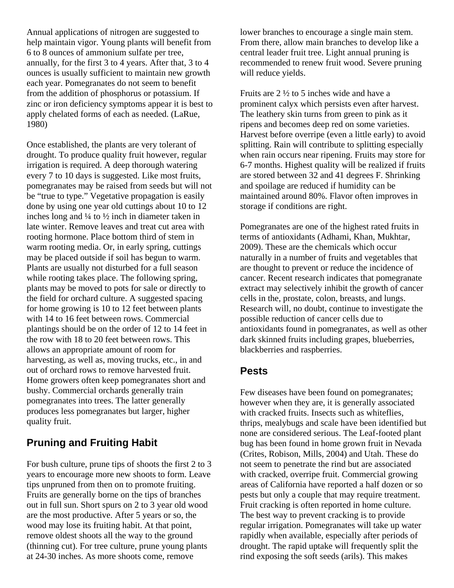Annual applications of nitrogen are suggested to help maintain vigor. Young plants will benefit from 6 to 8 ounces of ammonium sulfate per tree, annually, for the first 3 to 4 years. After that, 3 to 4 ounces is usually sufficient to maintain new growth each year. Pomegranates do not seem to benefit from the addition of phosphorus or potassium. If zinc or iron deficiency symptoms appear it is best to apply chelated forms of each as needed. (LaRue, 1980)

Once established, the plants are very tolerant of drought. To produce quality fruit however, regular irrigation is required. A deep thorough watering every 7 to 10 days is suggested. Like most fruits, pomegranates may be raised from seeds but will not be "true to type." Vegetative propagation is easily done by using one year old cuttings about 10 to 12 inches long and ¼ to ½ inch in diameter taken in late winter. Remove leaves and treat cut area with rooting hormone. Place bottom third of stem in warm rooting media. Or, in early spring, cuttings may be placed outside if soil has begun to warm. Plants are usually not disturbed for a full season while rooting takes place. The following spring, plants may be moved to pots for sale or directly to the field for orchard culture. A suggested spacing for home growing is 10 to 12 feet between plants with 14 to 16 feet between rows. Commercial plantings should be on the order of 12 to 14 feet in the row with 18 to 20 feet between rows. This allows an appropriate amount of room for harvesting, as well as, moving trucks, etc., in and out of orchard rows to remove harvested fruit. Home growers often keep pomegranates short and bushy. Commercial orchards generally train pomegranates into trees. The latter generally produces less pomegranates but larger, higher quality fruit.

# **Pruning and Fruiting Habit**

For bush culture, prune tips of shoots the first 2 to 3 years to encourage more new shoots to form. Leave tips unpruned from then on to promote fruiting. Fruits are generally borne on the tips of branches out in full sun. Short spurs on 2 to 3 year old wood are the most productive. After 5 years or so, the wood may lose its fruiting habit. At that point, remove oldest shoots all the way to the ground (thinning cut). For tree culture, prune young plants at 24-30 inches. As more shoots come, remove

lower branches to encourage a single main stem. From there, allow main branches to develop like a central leader fruit tree. Light annual pruning is recommended to renew fruit wood. Severe pruning will reduce yields.

Fruits are 2 ½ to 5 inches wide and have a prominent calyx which persists even after harvest. The leathery skin turns from green to pink as it ripens and becomes deep red on some varieties. Harvest before overripe (even a little early) to avoid splitting. Rain will contribute to splitting especially when rain occurs near ripening. Fruits may store for 6-7 months. Highest quality will be realized if fruits are stored between 32 and 41 degrees F. Shrinking and spoilage are reduced if humidity can be maintained around 80%. Flavor often improves in storage if conditions are right.

Pomegranates are one of the highest rated fruits in terms of antioxidants (Adhami, Khan, Mukhtar, 2009). These are the chemicals which occur naturally in a number of fruits and vegetables that are thought to prevent or reduce the incidence of cancer. Recent research indicates that pomegranate extract may selectively inhibit the growth of cancer cells in the, prostate, colon, breasts, and lungs. Research will, no doubt, continue to investigate the possible reduction of cancer cells due to antioxidants found in pomegranates, as well as other dark skinned fruits including grapes, blueberries, blackberries and raspberries.

## **Pests**

Few diseases have been found on pomegranates; however when they are, it is generally associated with cracked fruits. Insects such as whiteflies, thrips, mealybugs and scale have been identified but none are considered serious. The Leaf-footed plant bug has been found in home grown fruit in Nevada (Crites, Robison, Mills, 2004) and Utah. These do not seem to penetrate the rind but are associated with cracked, overripe fruit. Commercial growing areas of California have reported a half dozen or so pests but only a couple that may require treatment. Fruit cracking is often reported in home culture. The best way to prevent cracking is to provide regular irrigation. Pomegranates will take up water rapidly when available, especially after periods of drought. The rapid uptake will frequently split the rind exposing the soft seeds (arils). This makes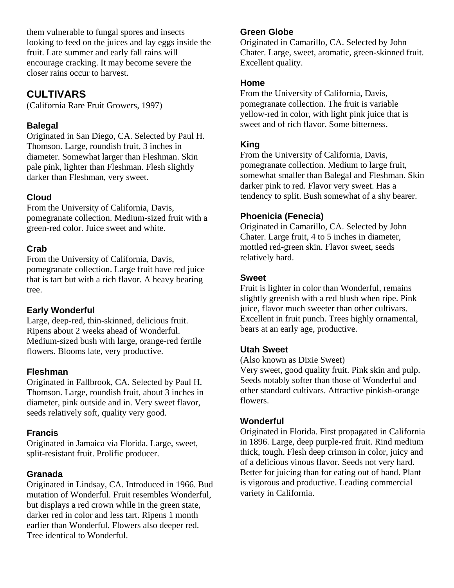them vulnerable to fungal spores and insects looking to feed on the juices and lay eggs inside the fruit. Late summer and early fall rains will encourage cracking. It may become severe the closer rains occur to harvest.

# **CULTIVARS**

(California Rare Fruit Growers, 1997)

## **Balegal**

Originated in San Diego, CA. Selected by Paul H. Thomson. Large, roundish fruit, 3 inches in diameter. Somewhat larger than Fleshman. Skin pale pink, lighter than Fleshman. Flesh slightly darker than Fleshman, very sweet.

# **Cloud**

From the University of California, Davis, pomegranate collection. Medium-sized fruit with a green-red color. Juice sweet and white.

## **Crab**

From the University of California, Davis, pomegranate collection. Large fruit have red juice that is tart but with a rich flavor. A heavy bearing tree.

## **Early Wonderful**

Large, deep-red, thin-skinned, delicious fruit. Ripens about 2 weeks ahead of Wonderful. Medium-sized bush with large, orange-red fertile flowers. Blooms late, very productive.

## **Fleshman**

Originated in Fallbrook, CA. Selected by Paul H. Thomson. Large, roundish fruit, about 3 inches in diameter, pink outside and in. Very sweet flavor, seeds relatively soft, quality very good.

# **Francis**

Originated in Jamaica via Florida. Large, sweet, split-resistant fruit. Prolific producer.

# **Granada**

Originated in Lindsay, CA. Introduced in 1966. Bud mutation of Wonderful. Fruit resembles Wonderful, but displays a red crown while in the green state, darker red in color and less tart. Ripens 1 month earlier than Wonderful. Flowers also deeper red. Tree identical to Wonderful.

# **Green Globe**

Originated in Camarillo, CA. Selected by John Chater. Large, sweet, aromatic, green-skinned fruit. Excellent quality.

#### **Home**

From the University of California, Davis, pomegranate collection. The fruit is variable yellow-red in color, with light pink juice that is sweet and of rich flavor. Some bitterness.

# **King**

From the University of California, Davis, pomegranate collection. Medium to large fruit, somewhat smaller than Balegal and Fleshman. Skin darker pink to red. Flavor very sweet. Has a tendency to split. Bush somewhat of a shy bearer.

# **Phoenicia (Fenecia)**

Originated in Camarillo, CA. Selected by John Chater. Large fruit, 4 to 5 inches in diameter, mottled red-green skin. Flavor sweet, seeds relatively hard.

#### **Sweet**

Fruit is lighter in color than Wonderful, remains slightly greenish with a red blush when ripe. Pink juice, flavor much sweeter than other cultivars. Excellent in fruit punch. Trees highly ornamental, bears at an early age, productive.

## **Utah Sweet**

(Also known as Dixie Sweet)

Very sweet, good quality fruit. Pink skin and pulp. Seeds notably softer than those of Wonderful and other standard cultivars. Attractive pinkish-orange flowers.

## **Wonderful**

Originated in Florida. First propagated in California in 1896. Large, deep purple-red fruit. Rind medium thick, tough. Flesh deep crimson in color, juicy and of a delicious vinous flavor. Seeds not very hard. Better for juicing than for eating out of hand. Plant is vigorous and productive. Leading commercial variety in California.